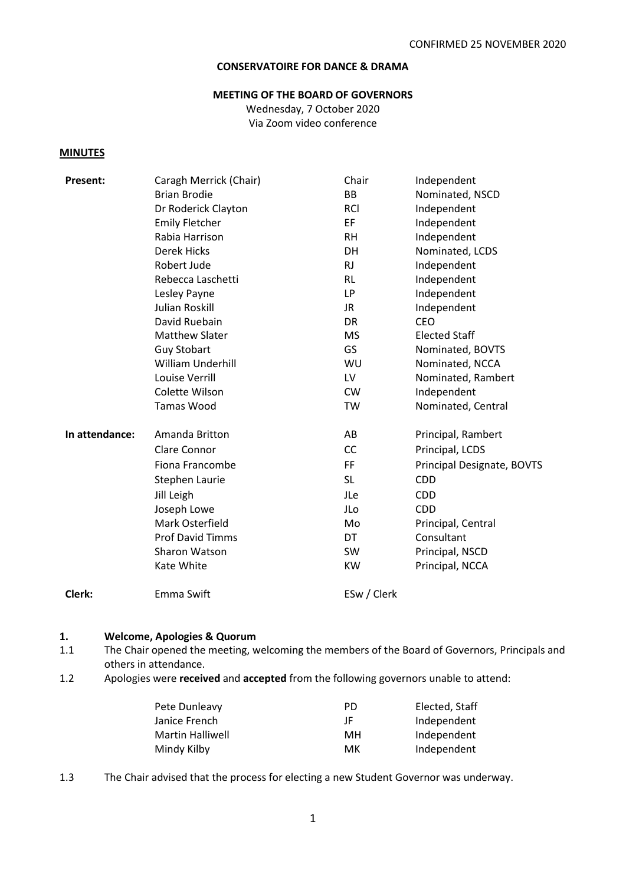# **CONSERVATOIRE FOR DANCE & DRAMA**

#### **MEETING OF THE BOARD OF GOVERNORS**

Wednesday, 7 October 2020 Via Zoom video conference

#### **MINUTES**

| Present:       | Caragh Merrick (Chair)  | Chair       | Independent                |
|----------------|-------------------------|-------------|----------------------------|
|                | <b>Brian Brodie</b>     | BB          | Nominated, NSCD            |
|                | Dr Roderick Clayton     | <b>RCI</b>  | Independent                |
|                | <b>Emily Fletcher</b>   | EF.         | Independent                |
|                | Rabia Harrison          | <b>RH</b>   | Independent                |
|                | <b>Derek Hicks</b>      | <b>DH</b>   | Nominated, LCDS            |
|                | Robert Jude             | <b>RJ</b>   | Independent                |
|                | Rebecca Laschetti       | RL          | Independent                |
|                | Lesley Payne            | <b>LP</b>   | Independent                |
|                | <b>Julian Roskill</b>   | JR.         | Independent                |
|                | David Ruebain           | DR          | <b>CEO</b>                 |
|                | <b>Matthew Slater</b>   | <b>MS</b>   | <b>Elected Staff</b>       |
|                | <b>Guy Stobart</b>      | GS          | Nominated, BOVTS           |
|                | William Underhill       | WU          | Nominated, NCCA            |
|                | Louise Verrill          | LV          | Nominated, Rambert         |
|                | Colette Wilson          | <b>CW</b>   | Independent                |
|                | <b>Tamas Wood</b>       | TW          | Nominated, Central         |
| In attendance: | Amanda Britton          | AB          | Principal, Rambert         |
|                | Clare Connor            | CC          | Principal, LCDS            |
|                | Fiona Francombe         | FF          | Principal Designate, BOVTS |
|                | Stephen Laurie          | <b>SL</b>   | <b>CDD</b>                 |
|                | Jill Leigh              | JLe         | <b>CDD</b>                 |
|                | Joseph Lowe             | JLo         | <b>CDD</b>                 |
|                | Mark Osterfield         | Mo          | Principal, Central         |
|                | <b>Prof David Timms</b> | DT          | Consultant                 |
|                | Sharon Watson           | <b>SW</b>   | Principal, NSCD            |
|                | Kate White              | <b>KW</b>   | Principal, NCCA            |
| Clerk:         | Emma Swift              | ESw / Clerk |                            |

#### **1. Welcome, Apologies & Quorum**

- 1.1 The Chair opened the meeting, welcoming the members of the Board of Governors, Principals and others in attendance.
- 1.2 Apologies were **received** and **accepted** from the following governors unable to attend:

| Pete Dunleavy    | PD. | Elected, Staff |
|------------------|-----|----------------|
| Janice French    | ΙF  | Independent    |
| Martin Halliwell | MН  | Independent    |
| Mindy Kilby      | мк  | Independent    |

1.3 The Chair advised that the process for electing a new Student Governor was underway.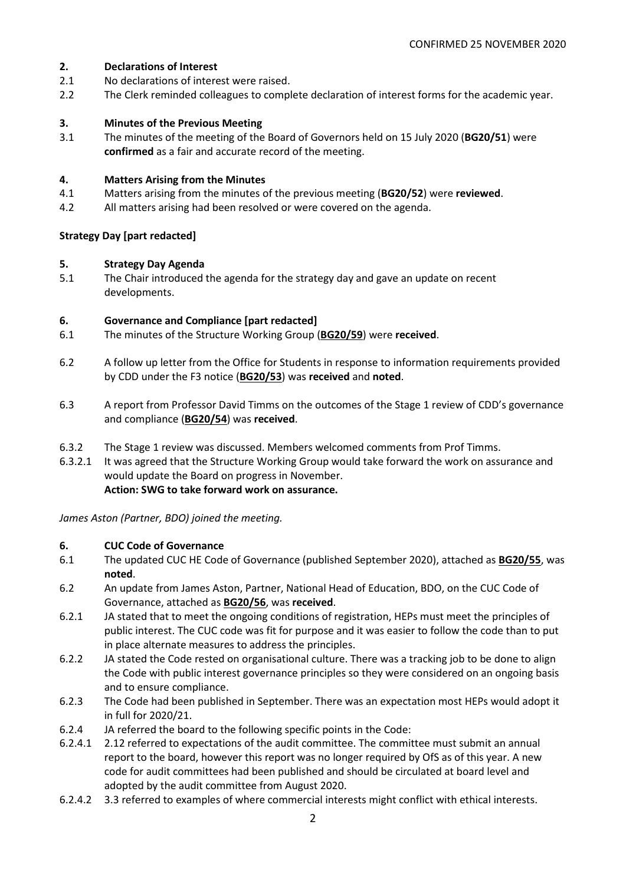#### **2. Declarations of Interest**

- 2.1 No declarations of interest were raised.
- 2.2 The Clerk reminded colleagues to complete declaration of interest forms for the academic year.

## **3. Minutes of the Previous Meeting**

3.1 The minutes of the meeting of the Board of Governors held on 15 July 2020 (**BG20/51**) were **confirmed** as a fair and accurate record of the meeting.

#### **4. Matters Arising from the Minutes**

- 4.1 Matters arising from the minutes of the previous meeting (**BG20/52**) were **reviewed**.
- 4.2 All matters arising had been resolved or were covered on the agenda.

## **Strategy Day [part redacted]**

## **5. Strategy Day Agenda**

5.1 The Chair introduced the agenda for the strategy day and gave an update on recent developments.

## **6. Governance and Compliance [part redacted]**

- 6.1 The minutes of the Structure Working Group (**BG20/59**) were **received**.
- 6.2 A follow up letter from the Office for Students in response to information requirements provided by CDD under the F3 notice (**BG20/53**) was **received** and **noted**.
- 6.3 A report from Professor David Timms on the outcomes of the Stage 1 review of CDD's governance and compliance (**BG20/54**) was **received**.
- 6.3.2 The Stage 1 review was discussed. Members welcomed comments from Prof Timms.
- 6.3.2.1 It was agreed that the Structure Working Group would take forward the work on assurance and would update the Board on progress in November. **Action: SWG to take forward work on assurance.**

*James Aston (Partner, BDO) joined the meeting.*

# **6. CUC Code of Governance**

- 6.1 The updated CUC HE Code of Governance (published September 2020), attached as **BG20/55**, was **noted**.
- 6.2 An update from James Aston, Partner, National Head of Education, BDO, on the CUC Code of Governance, attached as **BG20/56**, was **received**.
- 6.2.1 JA stated that to meet the ongoing conditions of registration, HEPs must meet the principles of public interest. The CUC code was fit for purpose and it was easier to follow the code than to put in place alternate measures to address the principles.
- 6.2.2 JA stated the Code rested on organisational culture. There was a tracking job to be done to align the Code with public interest governance principles so they were considered on an ongoing basis and to ensure compliance.
- 6.2.3 The Code had been published in September. There was an expectation most HEPs would adopt it in full for 2020/21.
- 6.2.4 JA referred the board to the following specific points in the Code:
- 6.2.4.1 2.12 referred to expectations of the audit committee. The committee must submit an annual report to the board, however this report was no longer required by OfS as of this year. A new code for audit committees had been published and should be circulated at board level and adopted by the audit committee from August 2020.
- 6.2.4.2 3.3 referred to examples of where commercial interests might conflict with ethical interests.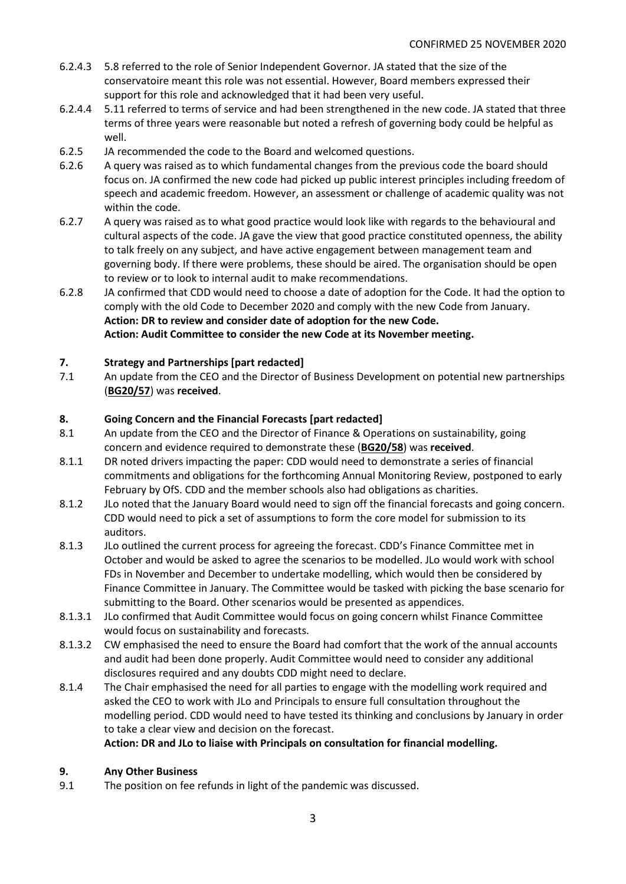- 6.2.4.3 5.8 referred to the role of Senior Independent Governor. JA stated that the size of the conservatoire meant this role was not essential. However, Board members expressed their support for this role and acknowledged that it had been very useful.
- 6.2.4.4 5.11 referred to terms of service and had been strengthened in the new code. JA stated that three terms of three years were reasonable but noted a refresh of governing body could be helpful as well.
- 6.2.5 JA recommended the code to the Board and welcomed questions.
- 6.2.6 A query was raised as to which fundamental changes from the previous code the board should focus on. JA confirmed the new code had picked up public interest principles including freedom of speech and academic freedom. However, an assessment or challenge of academic quality was not within the code.
- 6.2.7 A query was raised as to what good practice would look like with regards to the behavioural and cultural aspects of the code. JA gave the view that good practice constituted openness, the ability to talk freely on any subject, and have active engagement between management team and governing body. If there were problems, these should be aired. The organisation should be open to review or to look to internal audit to make recommendations.
- 6.2.8 JA confirmed that CDD would need to choose a date of adoption for the Code. It had the option to comply with the old Code to December 2020 and comply with the new Code from January. **Action: DR to review and consider date of adoption for the new Code. Action: Audit Committee to consider the new Code at its November meeting.**

## **7. Strategy and Partnerships [part redacted]**

7.1 An update from the CEO and the Director of Business Development on potential new partnerships (**BG20/57**) was **received**.

## **8. Going Concern and the Financial Forecasts [part redacted]**

- 8.1 An update from the CEO and the Director of Finance & Operations on sustainability, going concern and evidence required to demonstrate these (**BG20/58**) was **received**.
- 8.1.1 DR noted drivers impacting the paper: CDD would need to demonstrate a series of financial commitments and obligations for the forthcoming Annual Monitoring Review, postponed to early February by OfS. CDD and the member schools also had obligations as charities.
- 8.1.2 JLo noted that the January Board would need to sign off the financial forecasts and going concern. CDD would need to pick a set of assumptions to form the core model for submission to its auditors.
- 8.1.3 JLo outlined the current process for agreeing the forecast. CDD's Finance Committee met in October and would be asked to agree the scenarios to be modelled. JLo would work with school FDs in November and December to undertake modelling, which would then be considered by Finance Committee in January. The Committee would be tasked with picking the base scenario for submitting to the Board. Other scenarios would be presented as appendices.
- 8.1.3.1 JLo confirmed that Audit Committee would focus on going concern whilst Finance Committee would focus on sustainability and forecasts.
- 8.1.3.2 CW emphasised the need to ensure the Board had comfort that the work of the annual accounts and audit had been done properly. Audit Committee would need to consider any additional disclosures required and any doubts CDD might need to declare.
- 8.1.4 The Chair emphasised the need for all parties to engage with the modelling work required and asked the CEO to work with JLo and Principals to ensure full consultation throughout the modelling period. CDD would need to have tested its thinking and conclusions by January in order to take a clear view and decision on the forecast.

#### **Action: DR and JLo to liaise with Principals on consultation for financial modelling.**

# **9. Any Other Business**

9.1 The position on fee refunds in light of the pandemic was discussed.